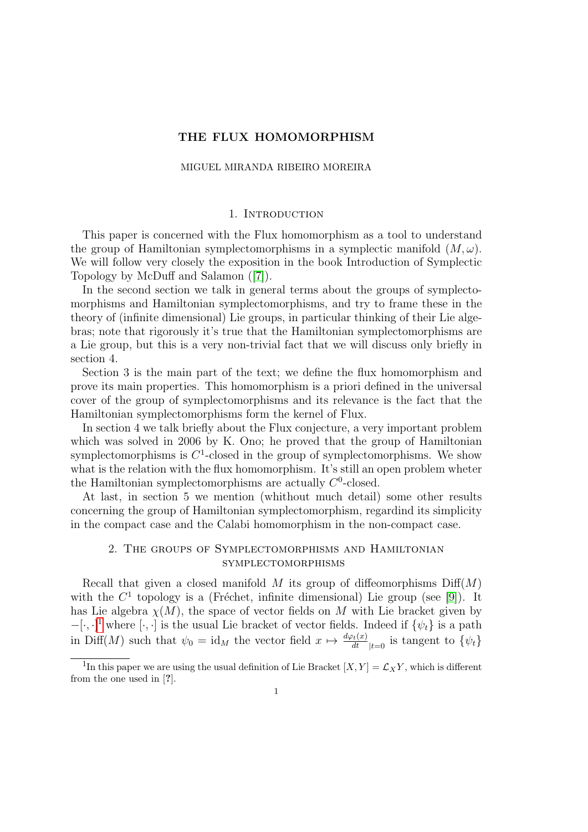# THE FLUX HOMOMORPHISM

### MIGUEL MIRANDA RIBEIRO MOREIRA

## 1. INTRODUCTION

This paper is concerned with the Flux homomorphism as a tool to understand the group of Hamiltonian symplectomorphisms in a symplectic manifold  $(M, \omega)$ . We will follow very closely the exposition in the book Introduction of Symplectic Topology by McDuff and Salamon([\[7\]](#page-13-0)).

In the second section we talk in general terms about the groups of symplectomorphisms and Hamiltonian symplectomorphisms, and try to frame these in the theory of (infinite dimensional) Lie groups, in particular thinking of their Lie algebras; note that rigorously it's true that the Hamiltonian symplectomorphisms are a Lie group, but this is a very non-trivial fact that we will discuss only briefly in section 4.

Section 3 is the main part of the text; we define the flux homomorphism and prove its main properties. This homomorphism is a priori defined in the universal cover of the group of symplectomorphisms and its relevance is the fact that the Hamiltonian symplectomorphisms form the kernel of Flux.

In section 4 we talk briefly about the Flux conjecture, a very important problem which was solved in 2006 by K. Ono; he proved that the group of Hamiltonian symplectomorphisms is  $C<sup>1</sup>$ -closed in the group of symplectomorphisms. We show what is the relation with the flux homomorphism. It's still an open problem wheter the Hamiltonian symplectomorphisms are actually  $C^0$ -closed.

At last, in section 5 we mention (whithout much detail) some other results concerning the group of Hamiltonian symplectomorphism, regardind its simplicity in the compact case and the Calabi homomorphism in the non-compact case.

# 2. The groups of Symplectomorphisms and Hamiltonian symplectomorphisms

Recall that given a closed manifold  $M$  its group of diffeomorphisms  $\text{Diff}(M)$ with the  $C^1$  topology is a (Fréchet, infinite dimensional) Lie group (see [\[9\]](#page-13-1)). It has Lie algebra  $\chi(M)$ , the space of vector fields on M with Lie bracket given by  $-[\cdot,\cdot]^1$  $-[\cdot,\cdot]^1$  where  $[\cdot,\cdot]$  is the usual Lie bracket of vector fields. Indeed if  $\{\psi_t\}$  is a path in Diff(M) such that  $\psi_0 = \text{id}_M$  the vector field  $x \mapsto \frac{d\varphi_t(x)}{dt}_{|t=0}$  is tangent to  $\{\psi_t\}$ 

<span id="page-0-0"></span><sup>&</sup>lt;sup>1</sup>In this paper we are using the usual definition of Lie Bracket  $[X, Y] = \mathcal{L}_X Y$ , which is different from the one used in [?].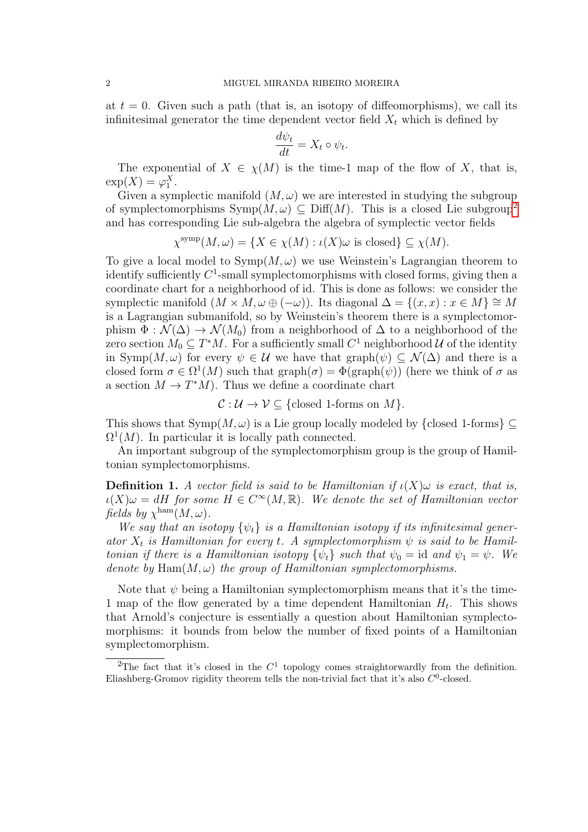at  $t = 0$ . Given such a path (that is, an isotopy of diffeomorphisms), we call its infinitesimal generator the time dependent vector field  $X_t$  which is defined by

$$
\frac{d\psi_t}{dt} = X_t \circ \psi_t.
$$

The exponential of  $X \in \chi(M)$  is the time-1 map of the flow of X, that is,  $\exp(X) = \varphi_1^X.$ 

Given a symplectic manifold  $(M, \omega)$  we are interested in studying the subgroup of symplectomorphisms  $\text{Symp}(M,\omega) \subseteq \text{Diff}(M)$ . This is a closed Lie subgroup<sup>[2](#page-1-0)</sup> and has corresponding Lie sub-algebra the algebra of symplectic vector fields

$$
\chi^{\text{symp}}(M,\omega) = \{ X \in \chi(M) : \iota(X)\omega \text{ is closed} \} \subseteq \chi(M).
$$

To give a local model to  $Symp(M,\omega)$  we use Weinstein's Lagrangian theorem to identify sufficiently  $C^1$ -small symplectomorphisms with closed forms, giving then a coordinate chart for a neighborhood of id. This is done as follows: we consider the symplectic manifold  $(M \times M, \omega \oplus (-\omega))$ . Its diagonal  $\Delta = \{(x, x) : x \in M\} \cong M$ is a Lagrangian submanifold, so by Weinstein's theorem there is a symplectomorphism  $\Phi : \mathcal{N}(\Delta) \to \mathcal{N}(M_0)$  from a neighborhood of  $\Delta$  to a neighborhood of the zero section  $M_0 \subseteq T^*M$ . For a sufficiently small  $C^1$  neighborhood  $\mathcal U$  of the identity in Symp $(M, \omega)$  for every  $\psi \in \mathcal{U}$  we have that graph $(\psi) \subset \mathcal{N}(\Delta)$  and there is a closed form  $\sigma \in \Omega^1(M)$  such that  $\text{graph}(\sigma) = \Phi(\text{graph}(\psi))$  (here we think of  $\sigma$  as a section  $M \to T^*M$ ). Thus we define a coordinate chart

$$
\mathcal{C}: \mathcal{U} \to \mathcal{V} \subseteq \{\text{closed 1-forms on } M\}.
$$

This shows that  $\text{Symp}(M,\omega)$  is a Lie group locally modeled by {closed 1-forms}  $\subseteq$  $\Omega^1(M)$ . In particular it is locally path connected.

An important subgroup of the symplectomorphism group is the group of Hamiltonian symplectomorphisms.

**Definition 1.** A vector field is said to be Hamiltonian if  $\iota(X)$  *w* is exact, that is,  $\iota(X)\omega = dH$  for some  $H \in C^{\infty}(M,\mathbb{R})$ . We denote the set of Hamiltonian vector fields by  $\chi^{\text{ham}}(M,\omega)$ .

We say that an isotopy  $\{\psi_t\}$  is a Hamiltonian isotopy if its infinitesimal generator  $X_t$  is Hamiltonian for every t. A symplectomorphism  $\psi$  is said to be Hamiltonian if there is a Hamiltonian isotopy  $\{\psi_t\}$  such that  $\psi_0 = id$  and  $\psi_1 = \psi$ . We denote by  $\text{Ham}(M, \omega)$  the group of Hamiltonian symplectomorphisms.

Note that  $\psi$  being a Hamiltonian symplectomorphism means that it's the time-1 map of the flow generated by a time dependent Hamiltonian  $H_t$ . This shows that Arnold's conjecture is essentially a question about Hamiltonian symplectomorphisms: it bounds from below the number of fixed points of a Hamiltonian symplectomorphism.

<span id="page-1-0"></span><sup>&</sup>lt;sup>2</sup>The fact that it's closed in the  $C<sup>1</sup>$  topology comes straightorwardly from the definition. Eliashberg-Gromov rigidity theorem tells the non-trivial fact that it's also  $C<sup>0</sup>$ -closed.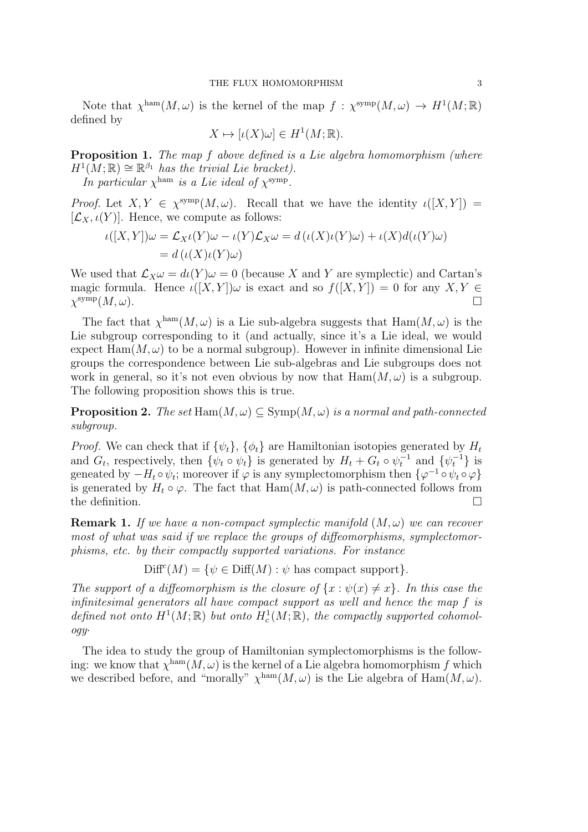Note that  $\chi^{\text{ham}}(M,\omega)$  is the kernel of the map  $f: \chi^{\text{symp}}(M,\omega) \to H^1(M;\mathbb{R})$ defined by

$$
X \mapsto [\iota(X)\omega] \in H^1(M; \mathbb{R}).
$$

**Proposition 1.** The map f above defined is a Lie algebra homomorphism (where  $H^1(M;\mathbb{R}) \cong \mathbb{R}^{\beta_1}$  has the trivial Lie bracket).

In particular  $\chi^{\text{ham}}$  is a Lie ideal of  $\chi^{\text{symp}}$ .

Proof. Let  $X, Y \in \chi^{\text{symp}}(M, \omega)$ . Recall that we have the identity  $\iota([X, Y]) =$  $[\mathcal{L}_X, \iota(Y)]$ . Hence, we compute as follows:

$$
\iota([X,Y])\omega = \mathcal{L}_{X}\iota(Y)\omega - \iota(Y)\mathcal{L}_{X}\omega = d(\iota(X)\iota(Y)\omega) + \iota(X)d(\iota(Y)\omega)
$$
  
=  $d(\iota(X)\iota(Y)\omega)$ 

We used that  $\mathcal{L}_X \omega = d\iota(Y) \omega = 0$  (because X and Y are symplectic) and Cartan's magic formula. Hence  $\iota([X,Y])\omega$  is exact and so  $f([X,Y]) = 0$  for any  $X, Y \in$  $\chi^{\mathrm{symp}}(M,\omega).$ 

The fact that  $\chi^{\text{ham}}(M,\omega)$  is a Lie sub-algebra suggests that  $\text{Ham}(M,\omega)$  is the Lie subgroup corresponding to it (and actually, since it's a Lie ideal, we would expect  $\text{Ham}(M,\omega)$  to be a normal subgroup). However in infinite dimensional Lie groups the correspondence between Lie sub-algebras and Lie subgroups does not work in general, so it's not even obvious by now that  $\text{Ham}(M, \omega)$  is a subgroup. The following proposition shows this is true.

**Proposition 2.** The set Ham $(M, \omega) \subseteq \text{Symp}(M, \omega)$  is a normal and path-connected subgroup.

*Proof.* We can check that if  $\{\psi_t\}$ ,  $\{\phi_t\}$  are Hamiltonian isotopies generated by  $H_t$ and  $G_t$ , respectively, then  $\{\psi_t \circ \psi_t\}$  is generated by  $H_t + G_t \circ \psi_t^{-1}$  and  $\{\psi_t^{-1}\}$  is geneated by  $-H_t \circ \psi_t$ ; moreover if  $\varphi$  is any symplectomorphism then  $\{\varphi^{-1} \circ \psi_t \circ \varphi\}$ is generated by  $H_t \circ \varphi$ . The fact that  $\text{Ham}(M, \omega)$  is path-connected follows from the definition.

**Remark 1.** If we have a non-compact symplectic manifold  $(M, \omega)$  we can recover most of what was said if we replace the groups of diffeomorphisms, symplectomorphisms, etc. by their compactly supported variations. For instance

 $\text{Diff}^{c}(M) = \{ \psi \in \text{Diff}(M) : \psi \text{ has compact support} \}.$ 

The support of a diffeomorphism is the closure of  $\{x : \psi(x) \neq x\}$ . In this case the infinitesimal generators all have compact support as well and hence the map f is defined not onto  $H^1(M;\mathbb{R})$  but onto  $H^1_c(M;\mathbb{R})$ , the compactly supported cohomology·

The idea to study the group of Hamiltonian symplectomorphisms is the following: we know that  $\chi^{\text{ham}}(M,\omega)$  is the kernel of a Lie algebra homomorphism f which we described before, and "morally"  $\chi^{\text{ham}}(M,\omega)$  is the Lie algebra of  $\text{Ham}(M,\omega)$ .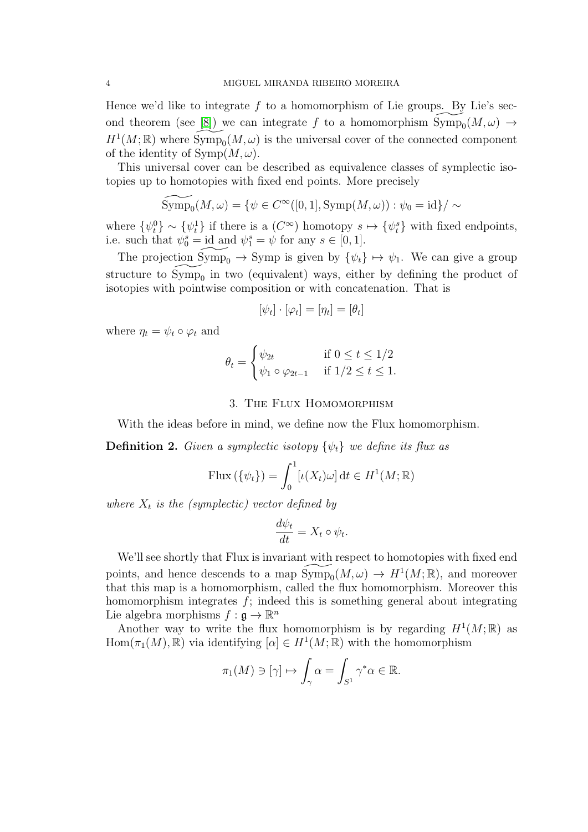Hence we'd like to integrate  $f$  to a homomorphism of Lie groups. By Lie's sec-ond theorem (see [\[8\]](#page-13-2)) we can integrate f to a homomorphism  $\widetilde{\mathrm{Symp}}_0(M, \omega) \to$  $H^1(M;\mathbb{R})$  where  $\widetilde{\mathrm{Symp}}_0(M,\omega)$  is the universal cover of the connected component of the identity of  $\text{Symp}(M,\omega)$ .

This universal cover can be described as equivalence classes of symplectic isotopies up to homotopies with fixed end points. More precisely

$$
\widetilde{\mathrm{Symp}}_0(M,\omega) = \{ \psi \in C^\infty([0,1],\mathrm{Symp}(M,\omega)) : \psi_0 = \mathrm{id} \} / \sim
$$

where  $\{\psi_t^0\} \sim \{\psi_t^1\}$  if there is a  $(C^{\infty})$  homotopy  $s \mapsto \{\psi_t^s\}$  with fixed endpoints, i.e. such that  $\psi_0^s = \text{id}$  and  $\psi_1^s = \psi$  for any  $s \in [0, 1]$ .

The projection  $\widetilde{\mathrm{Symp}}_0 \to \mathrm{Symp}$  is given by  $\{\psi_t\} \mapsto \psi_1$ . We can give a group structure to  $\widetilde{\mathrm{Symp}_0}$  in two (equivalent) ways, either by defining the product of isotopies with pointwise composition or with concatenation. That is

$$
[\psi_t] \cdot [\varphi_t] = [\eta_t] = [\theta_t]
$$

where  $\eta_t = \psi_t \circ \varphi_t$  and

$$
\theta_t = \begin{cases} \psi_{2t} & \text{if } 0 \le t \le 1/2\\ \psi_1 \circ \varphi_{2t-1} & \text{if } 1/2 \le t \le 1. \end{cases}
$$

### 3. The Flux Homomorphism

With the ideas before in mind, we define now the Flux homomorphism.

**Definition 2.** Given a symplectic isotopy  $\{\psi_t\}$  we define its flux as

Flux 
$$
(\{\psi_t\}) = \int_0^1 [\iota(X_t)\omega] dt \in H^1(M; \mathbb{R})
$$

where  $X_t$  is the (symplectic) vector defined by

$$
\frac{d\psi_t}{dt} = X_t \circ \psi_t.
$$

We'll see shortly that Flux is invariant with respect to homotopies with fixed end points, and hence descends to a map  $\widetilde{\mathrm{Symp}}_0(M,\omega) \to H^1(M;\mathbb{R})$ , and moreover that this map is a homomorphism, called the flux homomorphism. Moreover this homomorphism integrates  $f$ ; indeed this is something general about integrating Lie algebra morphisms  $f: \mathfrak{g} \to \mathbb{R}^n$ 

Another way to write the flux homomorphism is by regarding  $H^1(M;\mathbb{R})$  as  $Hom(\pi_1(M), \mathbb{R})$  via identifying  $[\alpha] \in H^1(M; \mathbb{R})$  with the homomorphism

$$
\pi_1(M) \ni [\gamma] \mapsto \int_{\gamma} \alpha = \int_{S^1} \gamma^* \alpha \in \mathbb{R}.
$$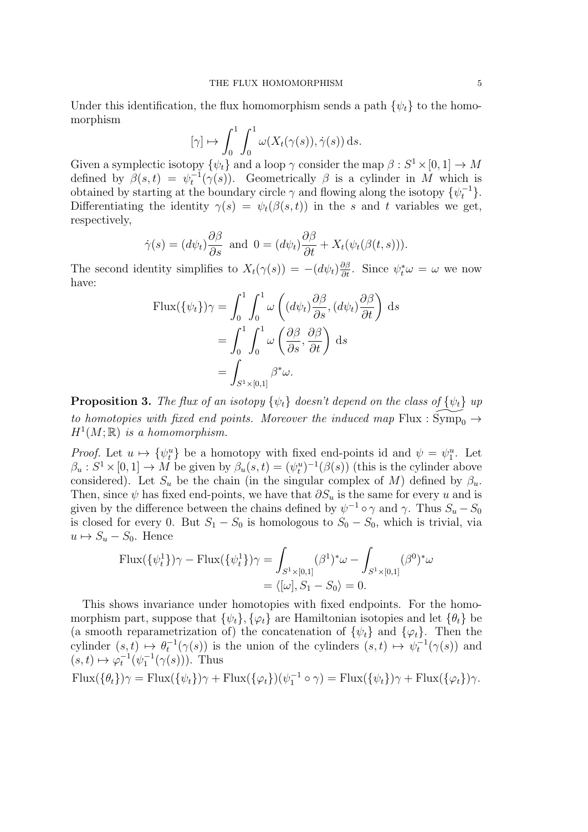Under this identification, the flux homomorphism sends a path  $\{\psi_t\}$  to the homomorphism

$$
[\gamma] \mapsto \int_0^1 \int_0^1 \omega(X_t(\gamma(s)), \dot{\gamma}(s)) ds.
$$

Given a symplectic isotopy  $\{\psi_t\}$  and a loop  $\gamma$  consider the map  $\beta: S^1 \times [0, 1] \to M$ defined by  $\beta(s,t) = \psi_t^{-1}(\gamma(s))$ . Geometrically  $\beta$  is a cylinder in M which is obtained by starting at the boundary circle  $\gamma$  and flowing along the isotopy  $\{\psi_t^{-1}\}.$ Differentiating the identity  $\gamma(s) = \psi_t(\beta(s,t))$  in the s and t variables we get, respectively,

$$
\dot{\gamma}(s) = (d\psi_t)\frac{\partial\beta}{\partial s}
$$
 and  $0 = (d\psi_t)\frac{\partial\beta}{\partial t} + X_t(\psi_t(\beta(t,s))).$ 

The second identity simplifies to  $X_t(\gamma(s)) = -(d\psi_t)\frac{\partial \beta}{\partial t}$ . Since  $\psi_t^*\omega = \omega$  we now have:

Flux(
$$
\{\psi_t\}
$$
) $\gamma = \int_0^1 \int_0^1 \omega \left( (d\psi_t) \frac{\partial \beta}{\partial s}, (d\psi_t) \frac{\partial \beta}{\partial t} \right) ds$   

$$
= \int_0^1 \int_0^1 \omega \left( \frac{\partial \beta}{\partial s}, \frac{\partial \beta}{\partial t} \right) ds
$$
  

$$
= \int_{S^1 \times [0,1]} \beta^* \omega.
$$

**Proposition 3.** The flux of an isotopy  $\{\psi_t\}$  doesn't depend on the class of  $\{\psi_t\}$  up to homotopies with fixed end points. Moreover the induced map Flux :  $\text{Symp}_0 \rightarrow$  $H^1(M;\mathbb{R})$  is a homomorphism.

*Proof.* Let  $u \mapsto {\psi_t^u}$  be a homotopy with fixed end-points id and  $\psi = \psi_1^u$ . Let  $\beta_u : S^1 \times [0,1] \to M$  be given by  $\beta_u(s,t) = (\psi_t^u)^{-1}(\beta(s))$  (this is the cylinder above considered). Let  $S_u$  be the chain (in the singular complex of M) defined by  $\beta_u$ . Then, since  $\psi$  has fixed end-points, we have that  $\partial S_u$  is the same for every u and is given by the difference between the chains defined by  $\psi^{-1} \circ \gamma$  and  $\gamma$ . Thus  $S_u - S_0$ is closed for every 0. But  $S_1 - S_0$  is homologous to  $S_0 - S_0$ , which is trivial, via  $u \mapsto S_u - S_0$ . Hence

Flux(
$$
\{\psi_t^1\}
$$
) $\gamma$  – Flux( $\{\psi_t^1\}$ ) $\gamma$  =  $\int_{S^1 \times [0,1]} (\beta^1)^* \omega - \int_{S^1 \times [0,1]} (\beta^0)^* \omega$   
 =  $\langle [\omega], S_1 - S_0 \rangle = 0$ .

This shows invariance under homotopies with fixed endpoints. For the homomorphism part, suppose that  $\{\psi_t\}$ ,  $\{\varphi_t\}$  are Hamiltonian isotopies and let  $\{\theta_t\}$  be (a smooth reparametrization of) the concatenation of  $\{\psi_t\}$  and  $\{\varphi_t\}$ . Then the cylinder  $(s,t) \mapsto \theta_t^{-1}(\gamma(s))$  is the union of the cylinders  $(s,t) \mapsto \psi_t^{-1}(\gamma(s))$  and  $(s,t) \mapsto \varphi_t^{-1}(\psi_1^{-1}(\gamma(s))).$  Thus

 $\text{Flux}(\{\theta_t\})\gamma = \text{Flux}(\{\psi_t\})\gamma + \text{Flux}(\{\varphi_t\})(\psi_1^{-1} \circ \gamma) = \text{Flux}(\{\psi_t\})\gamma + \text{Flux}(\{\varphi_t\})\gamma.$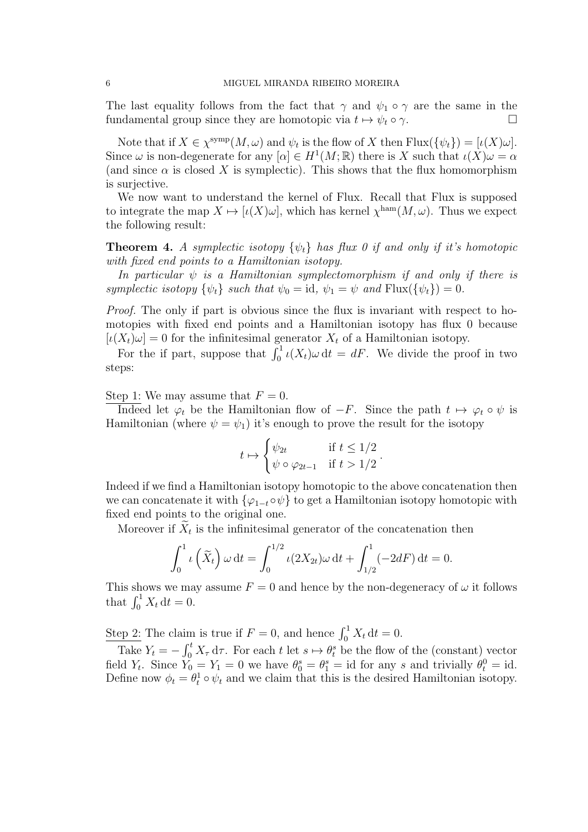The last equality follows from the fact that  $\gamma$  and  $\psi_1 \circ \gamma$  are the same in the fundamental group since they are homotopic via  $t \mapsto \psi_t \circ \gamma$ .

Note that if  $X \in \chi^{\text{symp}}(M,\omega)$  and  $\psi_t$  is the flow of X then  $\text{Flux}(\{\psi_t\}) = [\iota(X)\omega].$ Since  $\omega$  is non-degenerate for any  $[\alpha] \in H^1(M; \mathbb{R})$  there is X such that  $\iota(X)\omega = \alpha$ (and since  $\alpha$  is closed X is symplectic). This shows that the flux homomorphism is surjective.

We now want to understand the kernel of Flux. Recall that Flux is supposed to integrate the map  $X \mapsto [\iota(X)\omega]$ , which has kernel  $\chi^{\text{ham}}(M,\omega)$ . Thus we expect the following result:

<span id="page-5-0"></span>**Theorem 4.** A symplectic isotopy  $\{\psi_t\}$  has flux 0 if and only if it's homotopic with fixed end points to a Hamiltonian isotopy.

In particular  $\psi$  is a Hamiltonian symplectomorphism if and only if there is symplectic isotopy  $\{\psi_t\}$  such that  $\psi_0 = id$ ,  $\psi_1 = \psi$  and  $Flux(\{\psi_t\}) = 0$ .

Proof. The only if part is obvious since the flux is invariant with respect to homotopies with fixed end points and a Hamiltonian isotopy has flux 0 because  $[\iota(X_t)\omega] = 0$  for the infinitesimal generator  $X_t$  of a Hamiltonian isotopy.

For the if part, suppose that  $\int_0^1 \iota(X_t) \omega dt = dF$ . We divide the proof in two steps:

Step 1: We may assume that  $F = 0$ .

Indeed let  $\varphi_t$  be the Hamiltonian flow of  $-F$ . Since the path  $t \mapsto \varphi_t \circ \psi$  is Hamiltonian (where  $\psi = \psi_1$ ) it's enough to prove the result for the isotopy

$$
t \mapsto \begin{cases} \psi_{2t} & \text{if } t \le 1/2 \\ \psi \circ \varphi_{2t-1} & \text{if } t > 1/2 \end{cases}.
$$

Indeed if we find a Hamiltonian isotopy homotopic to the above concatenation then we can concatenate it with  $\{\varphi_{1-t} \circ \psi\}$  to get a Hamiltonian isotopy homotopic with fixed end points to the original one.

Moreover if  $X_t$  is the infinitesimal generator of the concatenation then

$$
\int_0^1 \iota\left(\widetilde{X}_t\right) \omega \, \mathrm{d}t = \int_0^{1/2} \iota(2X_{2t}) \omega \, \mathrm{d}t + \int_{1/2}^1 (-2dF) \, \mathrm{d}t = 0.
$$

This shows we may assume  $F = 0$  and hence by the non-degeneracy of  $\omega$  it follows that  $\int_0^1 X_t dt = 0$ .

Step 2: The claim is true if  $F = 0$ , and hence  $\int_0^1 X_t dt = 0$ .

Take  $Y_t = -\int_0^t X_\tau \, d\tau$ . For each t let  $s \mapsto \theta_t^s$  be the flow of the (constant) vector field  $Y_t$ . Since  $Y_0 = Y_1 = 0$  we have  $\theta_0^s = \theta_1^s = id$  for any s and trivially  $\theta_t^0 = id$ . Define now  $\phi_t = \theta_t^1 \circ \psi_t$  and we claim that this is the desired Hamiltonian isotopy.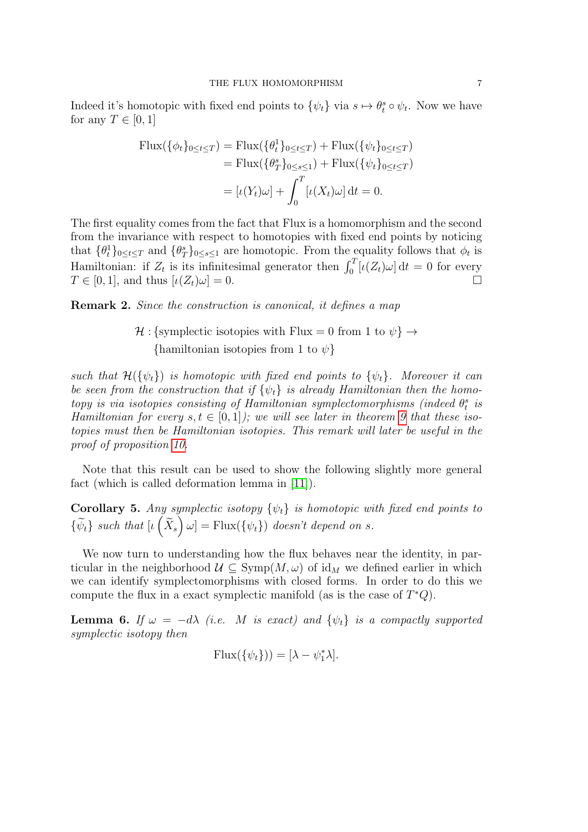Indeed it's homotopic with fixed end points to  $\{\psi_t\}$  via  $s \mapsto \theta_t^s \circ \psi_t$ . Now we have for any  $T \in [0, 1]$ 

Flux(
$$
\{\phi_t\}_{0\leq t\leq T}
$$
) = Flux( $\{\theta_t^1\}_{0\leq t\leq T}$ ) + Flux( $\{\psi_t\}_{0\leq t\leq T}$ )  
\n= Flux( $\{\theta_T^s\}_{0\leq s\leq 1}$ ) + Flux( $\{\psi_t\}_{0\leq t\leq T}$ )  
\n= [ $\iota(Y_t)\omega$ ] +  $\int_0^T [\iota(X_t)\omega] dt = 0$ .

The first equality comes from the fact that Flux is a homomorphism and the second from the invariance with respect to homotopies with fixed end points by noticing that  $\{\theta_t^1\}_{0\leq t\leq T}$  and  $\{\theta_T^s\}_{0\leq s\leq T}$  are homotopic. From the equality follows that  $\phi_t$  is Hamiltonian: if  $Z_t$  is its infinitesimal generator then  $\int_0^T \left[\iota(Z_t)\omega\right] dt = 0$  for every  $T \in [0, 1]$ , and thus  $[\iota(Z_t)\omega] = 0$ .

<span id="page-6-1"></span>Remark 2. Since the construction is canonical, it defines a map

 $\mathcal{H}$ : {symplectic isotopies with Flux = 0 from 1 to  $\psi$ }  $\rightarrow$ {hamiltonian isotopies from 1 to  $\psi$ }

such that  $\mathcal{H}(\{\psi_t\})$  is homotopic with fixed end points to  $\{\psi_t\}$ . Moreover it can be seen from the construction that if  $\{\psi_t\}$  is already Hamiltonian then the homotopy is via isotopies consisting of Hamiltonian symplectomorphisms (indeed  $\theta_t^s$  is Hamiltonian for every  $s, t \in [0, 1]$ ; we will see later in theorem [9](#page-8-0) that these isotopies must then be Hamiltonian isotopies. This remark will later be useful in the proof of proposition [10.](#page-9-0)

Note that this result can be used to show the following slightly more general fact (which is called deformation lemma in [\[11\]](#page-14-0)).

**Corollary 5.** Any symplectic isotopy  $\{\psi_t\}$  is homotopic with fixed end points to  $\{\widetilde{\psi}_t\}$  such that  $[\iota\left(\widetilde{X}_s\right)\omega] = \text{Flux}(\{\psi_t\})$  doesn't depend on s.

We now turn to understanding how the flux behaves near the identity, in particular in the neighborhood  $\mathcal{U} \subseteq \text{Symp}(M,\omega)$  of  $\text{id}_M$  we defined earlier in which we can identify symplectomorphisms with closed forms. In order to do this we compute the flux in a exact symplectic manifold (as is the case of  $T^*Q$ ).

<span id="page-6-0"></span>**Lemma 6.** If  $\omega = -d\lambda$  (i.e. M is exact) and  $\{\psi_t\}$  is a compactly supported symplectic isotopy then

$$
\text{Flux}(\{\psi_t\})) = [\lambda - \psi_1^* \lambda].
$$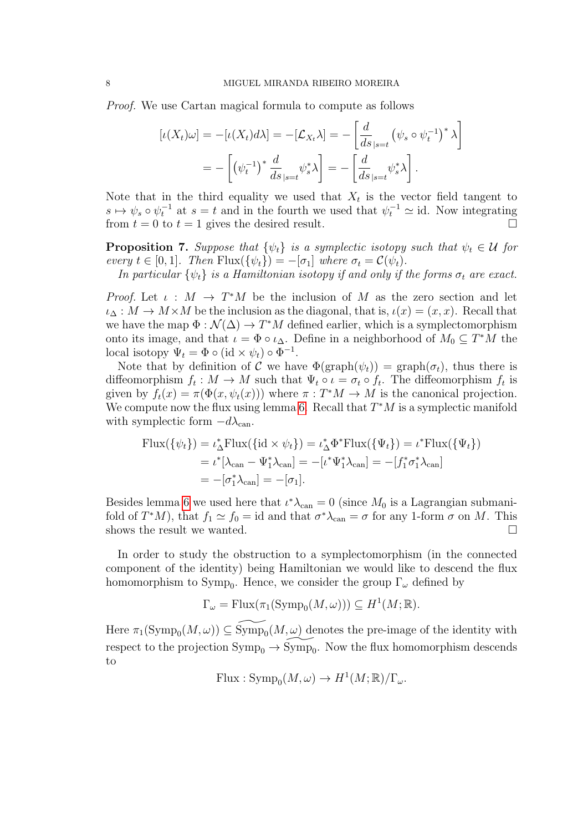Proof. We use Cartan magical formula to compute as follows

$$
[\iota(X_t)\omega] = -[\iota(X_t)d\lambda] = -[\mathcal{L}_{X_t}\lambda] = -\left[\frac{d}{ds}_{|s=t}(\psi_s \circ \psi_t^{-1})^*\lambda\right]
$$

$$
= -\left[(\psi_t^{-1})^*\frac{d}{ds}_{|s=t}\psi_s^*\lambda\right] = -\left[\frac{d}{ds}_{|s=t}\psi_s^*\lambda\right].
$$

Note that in the third equality we used that  $X_t$  is the vector field tangent to  $s \mapsto \psi_s \circ \psi_t^{-1}$  at  $s = t$  and in the fourth we used that  $\psi_t^{-1} \simeq id$ . Now integrating from  $t = 0$  to  $t = 1$  gives the desired result.

<span id="page-7-0"></span>**Proposition 7.** Suppose that  $\{\psi_t\}$  is a symplectic isotopy such that  $\psi_t \in \mathcal{U}$  for every  $t \in [0, 1]$ . Then  $\text{Flux}(\{\psi_t\}) = -[\sigma_1]$  where  $\sigma_t = \mathcal{C}(\psi_t)$ .

In particular  $\{\psi_t\}$  is a Hamiltonian isotopy if and only if the forms  $\sigma_t$  are exact.

*Proof.* Let  $\iota : M \to T^*M$  be the inclusion of M as the zero section and let  $i \Delta : M \to M \times M$  be the inclusion as the diagonal, that is,  $\iota(x) = (x, x)$ . Recall that we have the map  $\Phi : \mathcal{N}(\Delta) \to T^*M$  defined earlier, which is a symplectomorphism onto its image, and that  $\iota = \Phi \circ \iota_{\Delta}$ . Define in a neighborhood of  $M_0 \subseteq T^*M$  the local isotopy  $\Psi_t = \Phi \circ (\mathrm{id} \times \psi_t) \circ \Phi^{-1}$ .

Note that by definition of C we have  $\Phi(\text{graph}(\psi_t)) = \text{graph}(\sigma_t)$ , thus there is diffeomorphism  $f_t: M \to M$  such that  $\Psi_t \circ \iota = \sigma_t \circ f_t$ . The diffeomorphism  $f_t$  is given by  $f_t(x) = \pi(\Phi(x, \psi_t(x)))$  where  $\pi : T^*M \to M$  is the canonical projection. We compute now the flux using lemma [6.](#page-6-0) Recall that  $T^*M$  is a symplectic manifold with symplectic form  $-d\lambda_{\text{can}}$ .

Flux(
$$
\{\psi_t\}
$$
) =  $\iota_{\Delta}^*$ Flux( $\{\text{id} \times \psi_t\}$ ) =  $\iota_{\Delta}^* \Phi^* \text{Flux}(\{\Psi_t\}) = \iota^* \text{Flux}(\{\Psi_t\})$   
=  $\iota^* [\lambda_{\text{can}} - \Psi_1^* \lambda_{\text{can}}] = -[\iota^* \Psi_1^* \lambda_{\text{can}}] = -[f_1^* \sigma_1^* \lambda_{\text{can}}]$   
=  $-[\sigma_1^* \lambda_{\text{can}}] = -[\sigma_1].$ 

Besides lemma [6](#page-6-0) we used here that  $\iota^* \lambda_{\text{can}} = 0$  (since  $M_0$  is a Lagrangian submanifold of  $T^*M$ ), that  $f_1 \simeq f_0 = id$  and that  $\sigma^* \lambda_{\text{can}} = \sigma$  for any 1-form  $\sigma$  on M. This shows the result we wanted.  $\square$ 

In order to study the obstruction to a symplectomorphism (in the connected component of the identity) being Hamiltonian we would like to descend the flux homomorphism to Symp<sub>0</sub>. Hence, we consider the group  $\Gamma_{\omega}$  defined by

$$
\Gamma_{\omega} = \text{Flux}(\pi_1(\text{Symp}_0(M, \omega))) \subseteq H^1(M; \mathbb{R}).
$$

Here  $\pi_1(\mathrm{Symp}_0(M, \omega)) \subseteq \widetilde{\mathrm{Symp}}_0(M, \omega)$  denotes the pre-image of the identity with respect to the projection  $\text{Symp}_0 \to \widetilde{\text{Symp}}_0$ . Now the flux homomorphism descends to

 $\text{Flux}: \text{Symp}_0(M, \omega) \to H^1(M; \mathbb{R})/\Gamma_{\omega}.$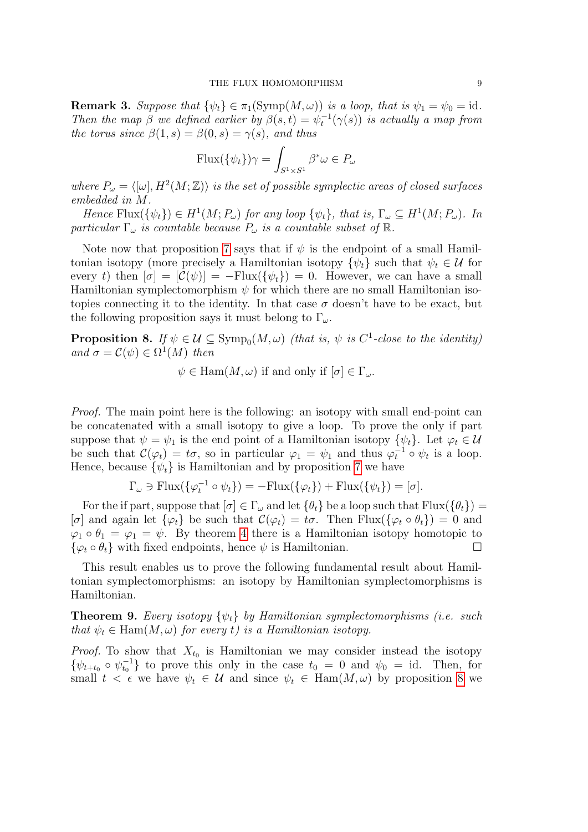**Remark 3.** Suppose that  $\{\psi_t\} \in \pi_1(\text{Symp}(M,\omega))$  is a loop, that is  $\psi_1 = \psi_0 = \text{id}$ . Then the map  $\beta$  we defined earlier by  $\beta(s,t) = \psi_t^{-1}(\gamma(s))$  is actually a map from the torus since  $\beta(1,s) = \beta(0,s) = \gamma(s)$ , and thus

$$
\text{Flux}(\{\psi_t\})\gamma = \int_{S^1 \times S^1} \beta^* \omega \in P_\omega
$$

where  $P_{\omega} = \langle [\omega], H^2(M; \mathbb{Z}) \rangle$  is the set of possible symplectic areas of closed surfaces embedded in M.

Hence  $\text{Flux}(\{\psi_t\}) \in H^1(M; P_\omega)$  for any loop  $\{\psi_t\}$ , that is,  $\Gamma_\omega \subseteq H^1(M; P_\omega)$ . In particular  $\Gamma_{\omega}$  is countable because  $P_{\omega}$  is a countable subset of  $\mathbb{R}$ .

Note now that proposition [7](#page-7-0) says that if  $\psi$  is the endpoint of a small Hamiltonian isotopy (more precisely a Hamiltonian isotopy  $\{\psi_t\}$  such that  $\psi_t \in \mathcal{U}$  for every t) then  $[\sigma] = [\mathcal{C}(\psi)] = -\text{Flux}(\{\psi_t\}) = 0$ . However, we can have a small Hamiltonian symplectomorphism  $\psi$  for which there are no small Hamiltonian isotopies connecting it to the identity. In that case  $\sigma$  doesn't have to be exact, but the following proposition says it must belong to  $\Gamma_{\omega}$ .

<span id="page-8-1"></span>**Proposition 8.** If  $\psi \in \mathcal{U} \subseteq \text{Symp}_0(M, \omega)$  (that is,  $\psi$  is  $C^1$ -close to the identity) and  $\sigma = \mathcal{C}(\psi) \in \Omega^1(M)$  then

 $\psi \in \text{Ham}(M, \omega)$  if and only if  $[\sigma] \in \Gamma_{\omega}$ .

Proof. The main point here is the following: an isotopy with small end-point can be concatenated with a small isotopy to give a loop. To prove the only if part suppose that  $\psi = \psi_1$  is the end point of a Hamiltonian isotopy  $\{\psi_t\}$ . Let  $\varphi_t \in \mathcal{U}$ be such that  $\mathcal{C}(\varphi_t) = t\sigma$ , so in particular  $\varphi_1 = \psi_1$  and thus  $\varphi_t^{-1} \circ \psi_t$  is a loop. Hence, because  $\{\psi_t\}$  is Hamiltonian and by proposition [7](#page-7-0) we have

$$
\Gamma_{\omega} \ni \text{Flux}(\{\varphi_t^{-1} \circ \psi_t\}) = -\text{Flux}(\{\varphi_t\}) + \text{Flux}(\{\psi_t\}) = [\sigma].
$$

For the if part, suppose that  $[\sigma] \in \Gamma_\omega$  and let  $\{\theta_t\}$  be a loop such that  $Flux(\{\theta_t\}) =$ [ $\sigma$ ] and again let  $\{\varphi_t\}$  be such that  $\mathcal{C}(\varphi_t) = t\sigma$ . Then Flux $(\{\varphi_t \circ \theta_t\}) = 0$  and  $\varphi_1 \circ \theta_1 = \varphi_1 = \psi$ . By theorem [4](#page-5-0) there is a Hamiltonian isotopy homotopic to  $\{\varphi_t \circ \theta_t\}$  with fixed endpoints, hence  $\psi$  is Hamiltonian.

This result enables us to prove the following fundamental result about Hamiltonian symplectomorphisms: an isotopy by Hamiltonian symplectomorphisms is Hamiltonian.

<span id="page-8-0"></span>**Theorem 9.** Every isotopy  $\{\psi_t\}$  by Hamiltonian symplectomorphisms (i.e. such that  $\psi_t \in \text{Ham}(M, \omega)$  for every t) is a Hamiltonian isotopy.

*Proof.* To show that  $X_{t_0}$  is Hamiltonian we may consider instead the isotopy  $\{\psi_{t+t_0} \circ \psi_{t_0}^{-1}\}\$  to prove this only in the case  $t_0 = 0$  and  $\psi_0 = id$ . Then, for small  $t \leq \epsilon$  we have  $\psi_t \in \mathcal{U}$  and since  $\psi_t \in \text{Ham}(M, \omega)$  by proposition [8](#page-8-1) we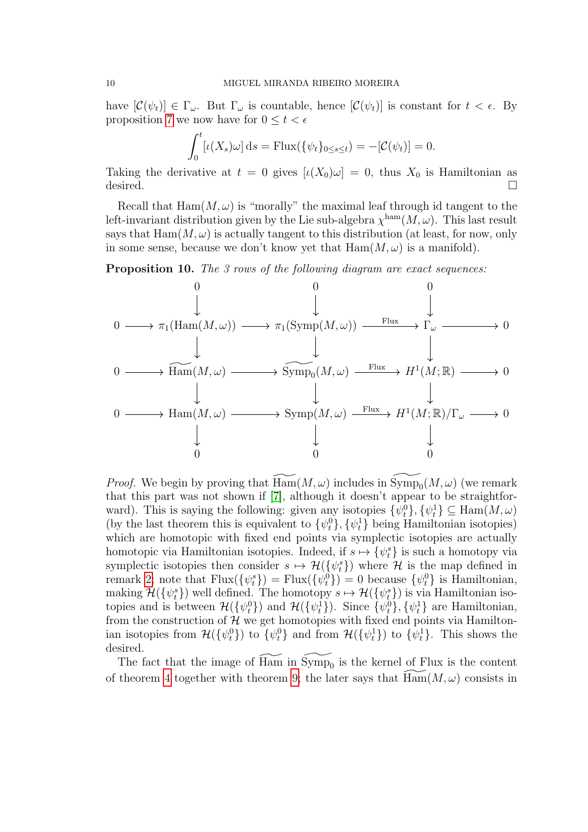have  $[\mathcal{C}(\psi_t)] \in \Gamma_\omega$ . But  $\Gamma_\omega$  is countable, hence  $[\mathcal{C}(\psi_t)]$  is constant for  $t < \epsilon$ . By proposition [7](#page-7-0) we now have for  $0 \leq t < \epsilon$ 

$$
\int_0^t [\iota(X_s)\omega] ds = \text{Flux}(\{\psi_t\}_{0 \le s \le t}) = -[\mathcal{C}(\psi_t)] = 0.
$$

Taking the derivative at  $t = 0$  gives  $[\iota(X_0)\omega] = 0$ , thus  $X_0$  is Hamiltonian as desired.

Recall that  $\text{Ham}(M, \omega)$  is "morally" the maximal leaf through id tangent to the left-invariant distribution given by the Lie sub-algebra  $\chi^{\text{ham}}(M,\omega)$ . This last result says that  $\text{Ham}(M, \omega)$  is actually tangent to this distribution (at least, for now, only in some sense, because we don't know yet that  $\text{Ham}(M, \omega)$  is a manifold).

<span id="page-9-0"></span>Proposition 10. The 3 rows of the following diagram are exact sequences:



*Proof.* We begin by proving that  $\widetilde{Ham}(M, \omega)$  includes in  $\widetilde{\mathrm{Symp}}_0(M, \omega)$  (we remark that this part was not shown if [\[7\]](#page-13-0), although it doesn't appear to be straightforward). This is saying the following: given any isotopies  $\{\psi_t^0\}$ ,  $\{\psi_t^1\} \subseteq \text{Ham}(M,\omega)$ (by the last theorem this is equivalent to  $\{\psi_t^0\}$ ,  $\{\psi_t^1\}$  being Hamiltonian isotopies) which are homotopic with fixed end points via symplectic isotopies are actually homotopic via Hamiltonian isotopies. Indeed, if  $s \mapsto {\psi_t^s}$  is such a homotopy via symplectic isotopies then consider  $s \mapsto \mathcal{H}(\{\psi_t^s\})$  where  $\mathcal{H}$  is the map defined in remark [2;](#page-6-1) note that  $Flux(\{\psi_t^s\}) = Flux(\{\psi_t^0\}) = 0$  because  $\{\psi_t^0\}$  is Hamiltonian, making  $\mathcal{H}(\{\psi_t^s\})$  well defined. The homotopy  $s \mapsto \mathcal{H}(\{\psi_t^s\})$  is via Hamiltonian isotopies and is between  $\mathcal{H}(\{\psi_t^0\})$  and  $\mathcal{H}(\{\psi_t^1\})$ . Since  $\{\psi_t^0\}, \{\psi_t^1\}$  are Hamiltonian, from the construction of  $H$  we get homotopies with fixed end points via Hamiltonian isotopies from  $\mathcal{H}(\{\psi_t^0\})$  to  $\{\psi_t^0\}$  and from  $\mathcal{H}(\{\psi_t^1\})$  to  $\{\psi_t^1\}$ . This shows the desired.

The fact that the image of  $\widetilde{Ham}$  in  $\widetilde{Symp_0}$  is the kernel of Flux is the content of theorem [4](#page-5-0) together with theorem [9;](#page-8-0) the later says that  $\text{Ham}(M, \omega)$  consists in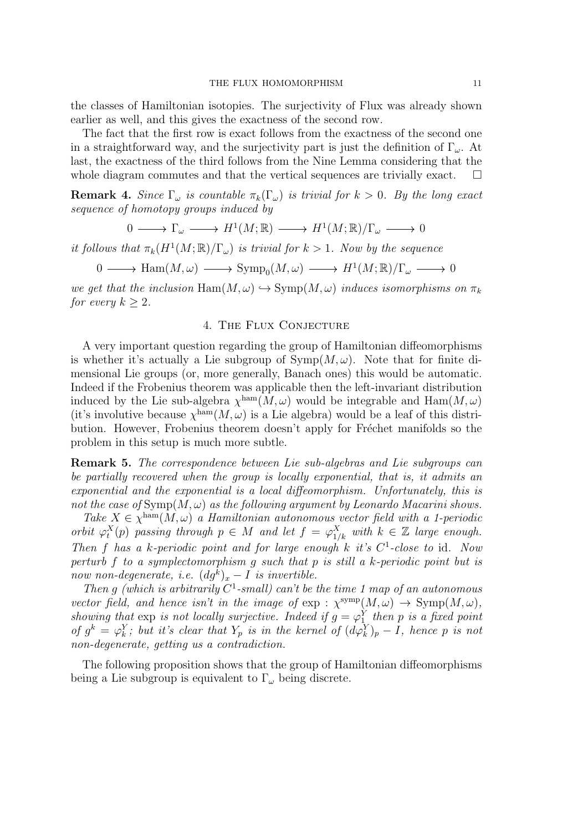the classes of Hamiltonian isotopies. The surjectivity of Flux was already shown earlier as well, and this gives the exactness of the second row.

The fact that the first row is exact follows from the exactness of the second one in a straightforward way, and the surjectivity part is just the definition of  $\Gamma_{\omega}$ . At last, the exactness of the third follows from the Nine Lemma considering that the whole diagram commutes and that the vertical sequences are trivially exact.

**Remark 4.** Since  $\Gamma_{\omega}$  is countable  $\pi_k(\Gamma_{\omega})$  is trivial for  $k > 0$ . By the long exact sequence of homotopy groups induced by

 $0 \longrightarrow \Gamma_{\omega} \longrightarrow H^1(M; \mathbb{R}) \longrightarrow H^1(M; \mathbb{R})/\Gamma_{\omega} \longrightarrow 0$ 

it follows that  $\pi_k(H^1(M;\mathbb{R})/\Gamma_\omega)$  is trivial for  $k>1$ . Now by the sequence

$$
0 \longrightarrow \text{Ham}(M,\omega) \longrightarrow \text{Symp}_0(M,\omega) \longrightarrow H^1(M;\mathbb{R})/\Gamma_\omega \longrightarrow 0
$$

we get that the inclusion  $\text{Ham}(M, \omega) \hookrightarrow \text{Symp}(M, \omega)$  induces isomorphisms on  $\pi_k$ for every  $k \geq 2$ .

# 4. The Flux Conjecture

A very important question regarding the group of Hamiltonian diffeomorphisms is whether it's actually a Lie subgroup of  $\text{Symp}(M,\omega)$ . Note that for finite dimensional Lie groups (or, more generally, Banach ones) this would be automatic. Indeed if the Frobenius theorem was applicable then the left-invariant distribution induced by the Lie sub-algebra  $\chi^{\text{ham}}(M,\omega)$  would be integrable and  $\text{Ham}(M,\omega)$ (it's involutive because  $\chi^{\text{ham}}(M,\omega)$  is a Lie algebra) would be a leaf of this distribution. However, Frobenius theorem doesn't apply for Fréchet manifolds so the problem in this setup is much more subtle.

Remark 5. The correspondence between Lie sub-algebras and Lie subgroups can be partially recovered when the group is locally exponential, that is, it admits an exponential and the exponential is a local diffeomorphism. Unfortunately, this is not the case of  $\text{Symp}(M, \omega)$  as the following argument by Leonardo Macarini shows.

Take  $X \in \chi^{\text{ham}}(M,\omega)$  a Hamiltonian autonomous vector field with a 1-periodic orbit  $\varphi_t^X(p)$  passing through  $p \in M$  and let  $f = \varphi_{1/k}^X$  with  $k \in \mathbb{Z}$  large enough. Then f has a k-periodic point and for large enough  $k$  it's  $C^1$ -close to id. Now perturb f to a symplectomorphism g such that p is still a k-periodic point but is now non-degenerate, i.e.  $(dg^k)_x - I$  is invertible.

Then g (which is arbitrarily  $C^1$ -small) can't be the time 1 map of an autonomous vector field, and hence isn't in the image of  $\exp : \chi^{\text{symp}}(M,\omega) \to \text{Symp}(M,\omega)$ , showing that exp is not locally surjective. Indeed if  $g = \varphi_1^Y$  then p is a fixed point of  $g^k = \varphi_k^Y$ ; but it's clear that  $Y_p$  is in the kernel of  $(d\varphi_k^Y)_p - I$ , hence p is not non-degenerate, getting us a contradiction.

The following proposition shows that the group of Hamiltonian diffeomorphisms being a Lie subgroup is equivalent to  $\Gamma_{\omega}$  being discrete.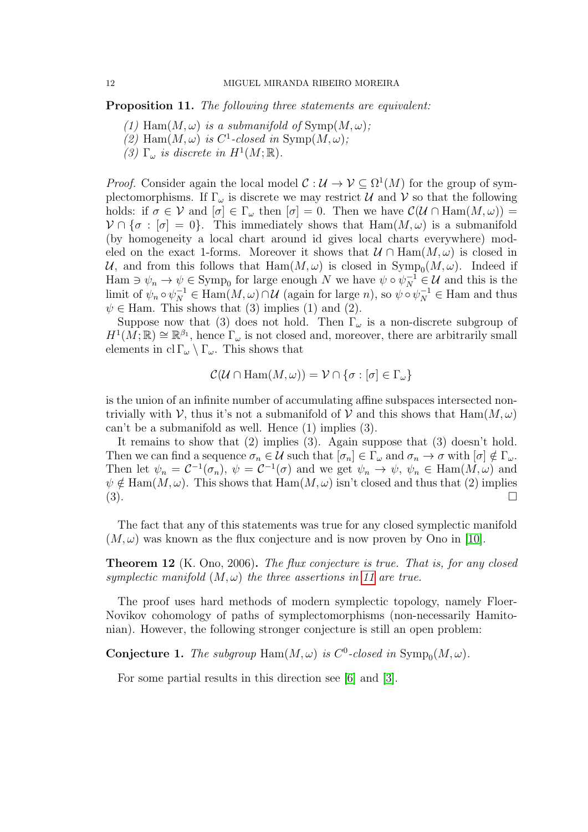Proposition 11. The following three statements are equivalent:

- (1) Ham $(M, \omega)$  is a submanifold of Symp $(M, \omega)$ ;
- (2) Ham $(M, \omega)$  is C<sup>1</sup>-closed in Symp $(M, \omega)$ ;
- <span id="page-11-0"></span>(3)  $\Gamma_{\omega}$  is discrete in  $H^{1}(M;\mathbb{R})$ .

*Proof.* Consider again the local model  $\mathcal{C}: \mathcal{U} \to \mathcal{V} \subseteq \Omega^1(M)$  for the group of symplectomorphisms. If  $\Gamma_{\omega}$  is discrete we may restrict U and V so that the following holds: if  $\sigma \in V$  and  $[\sigma] \in \Gamma_\omega$  then  $[\sigma] = 0$ . Then we have  $\mathcal{C}(\mathcal{U} \cap \text{Ham}(M,\omega)) =$  $\mathcal{V} \cap {\sigma : [\sigma] = 0}$ . This immediately shows that  $\text{Ham}(M, \omega)$  is a submanifold (by homogeneity a local chart around id gives local charts everywhere) modeled on the exact 1-forms. Moreover it shows that  $\mathcal{U} \cap \text{Ham}(M, \omega)$  is closed in U, and from this follows that  $\text{Ham}(M,\omega)$  is closed in  $\text{Symp}_0(M,\omega)$ . Indeed if Ham  $\Rightarrow \psi_n \to \psi \in \text{Symp}_0$  for large enough N we have  $\psi \circ \psi_N^{-1} \in \mathcal{U}$  and this is the limit of  $\psi_n \circ \psi_N^{-1} \in \text{Ham}(M, \omega) \cap \mathcal{U}$  (again for large n), so  $\psi \circ \psi_N^{-1} \in \text{Ham}$  and thus  $\psi \in$  Ham. This shows that (3) implies (1) and (2).

Suppose now that (3) does not hold. Then  $\Gamma_{\omega}$  is a non-discrete subgroup of  $H^1(M;\mathbb{R}) \cong \mathbb{R}^{\beta_1}$ , hence  $\Gamma_\omega$  is not closed and, moreover, there are arbitrarily small elements in cl  $\Gamma_{\omega} \setminus \Gamma_{\omega}$ . This shows that

$$
\mathcal{C}(\mathcal{U}\cap\text{Ham}(M,\omega))=\mathcal{V}\cap\{\sigma:[\sigma]\in\Gamma_\omega\}
$$

is the union of an infinite number of accumulating affine subspaces intersected nontrivially with V, thus it's not a submanifold of V and this shows that  $\text{Ham}(M,\omega)$ can't be a submanifold as well. Hence (1) implies (3).

It remains to show that (2) implies (3). Again suppose that (3) doesn't hold. Then we can find a sequence  $\sigma_n \in \mathcal{U}$  such that  $[\sigma_n] \in \Gamma_\omega$  and  $\sigma_n \to \sigma$  with  $[\sigma] \notin \Gamma_\omega$ . Then let  $\psi_n = C^{-1}(\sigma_n)$ ,  $\psi = C^{-1}(\sigma)$  and we get  $\psi_n \to \psi$ ,  $\psi_n \in \text{Ham}(M, \omega)$  and  $\psi \notin \text{Ham}(M, \omega)$ . This shows that  $\text{Ham}(M, \omega)$  isn't closed and thus that (2) implies  $(3)$ .

The fact that any of this statements was true for any closed symplectic manifold  $(M, \omega)$  was known as the flux conjecture and is now proven by Ono in [\[10\]](#page-13-3).

**Theorem 12** (K. Ono, 2006). The flux conjecture is true. That is, for any closed symplectic manifold  $(M, \omega)$  the three assertions in [11](#page-11-0) are true.

The proof uses hard methods of modern symplectic topology, namely Floer-Novikov cohomology of paths of symplectomorphisms (non-necessarily Hamitonian). However, the following stronger conjecture is still an open problem:

**Conjecture 1.** The subgroup  $\text{Ham}(M, \omega)$  is  $C^0$ -closed in  $\text{Symp}_0(M, \omega)$ .

For some partial results in this direction see [\[6\]](#page-13-4) and [\[3\]](#page-13-5).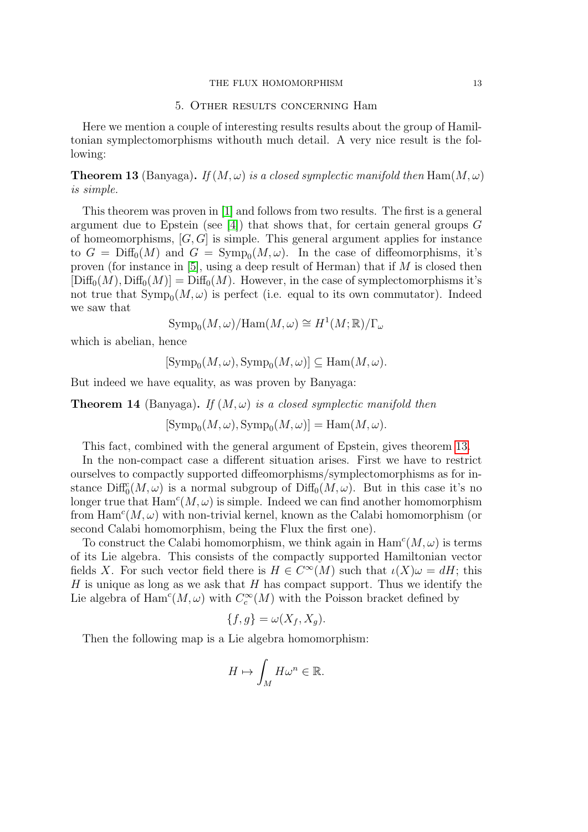#### THE FLUX HOMOMORPHISM 13

#### 5. Other results concerning Ham

Here we mention a couple of interesting results results about the group of Hamiltonian symplectomorphisms withouth much detail. A very nice result is the following:

<span id="page-12-0"></span>**Theorem 13** (Banyaga). If  $(M, \omega)$  is a closed symplectic manifold then Ham $(M, \omega)$ is simple.

This theorem was proven in [\[1\]](#page-13-6) and follows from two results. The first is a general argument due to Epstein (see [\[4\]](#page-13-7)) that shows that, for certain general groups  $G$ of homeomorphisms,  $[G, G]$  is simple. This general argument applies for instance to  $G = \text{Diff}_0(M)$  and  $G = \text{Symp}_0(M, \omega)$ . In the case of diffeomorphisms, it's proven (for instance in  $[5]$ , using a deep result of Herman) that if M is closed then  $[\text{Diff}_0(M), \text{Diff}_0(M)] = \text{Diff}_0(M)$ . However, in the case of symplectomorphisms it's not true that  $\text{Symp}_0(M, \omega)$  is perfect (i.e. equal to its own commutator). Indeed we saw that

$$
\mathrm{Symp}_0(M,\omega)/\mathrm{Ham}(M,\omega)\cong H^1(M;\mathbb{R})/\Gamma_\omega
$$

which is abelian, hence

$$
[\operatorname{Symp}_0(M,\omega), \operatorname{Symp}_0(M,\omega)] \subseteq \operatorname{Ham}(M,\omega).
$$

But indeed we have equality, as was proven by Banyaga:

**Theorem 14** (Banyaga). If  $(M, \omega)$  is a closed symplectic manifold then

 $[\text{Symp}_0(M, \omega), \text{Symp}_0(M, \omega)] = \text{Ham}(M, \omega).$ 

This fact, combined with the general argument of Epstein, gives theorem [13.](#page-12-0)

In the non-compact case a different situation arises. First we have to restrict ourselves to compactly supported diffeomorphisms/symplectomorphisms as for instance  $\text{Diff}_0^c(M,\omega)$  is a normal subgroup of  $\text{Diff}_0(M,\omega)$ . But in this case it's no longer true that  $\text{Ham}^c(M,\omega)$  is simple. Indeed we can find another homomorphism from  $\text{Ham}^c(M,\omega)$  with non-trivial kernel, known as the Calabi homomorphism (or second Calabi homomorphism, being the Flux the first one).

To construct the Calabi homomorphism, we think again in  $\text{Ham}^c(M,\omega)$  is terms of its Lie algebra. This consists of the compactly supported Hamiltonian vector fields X. For such vector field there is  $H \in C^{\infty}(M)$  such that  $\iota(X)\omega = dH$ ; this H is unique as long as we ask that  $H$  has compact support. Thus we identify the Lie algebra of  $\text{Ham}^c(M, \omega)$  with  $C_c^{\infty}(M)$  with the Poisson bracket defined by

$$
\{f,g\} = \omega(X_f, X_g).
$$

Then the following map is a Lie algebra homomorphism:

$$
H \mapsto \int_M H \omega^n \in \mathbb{R}.
$$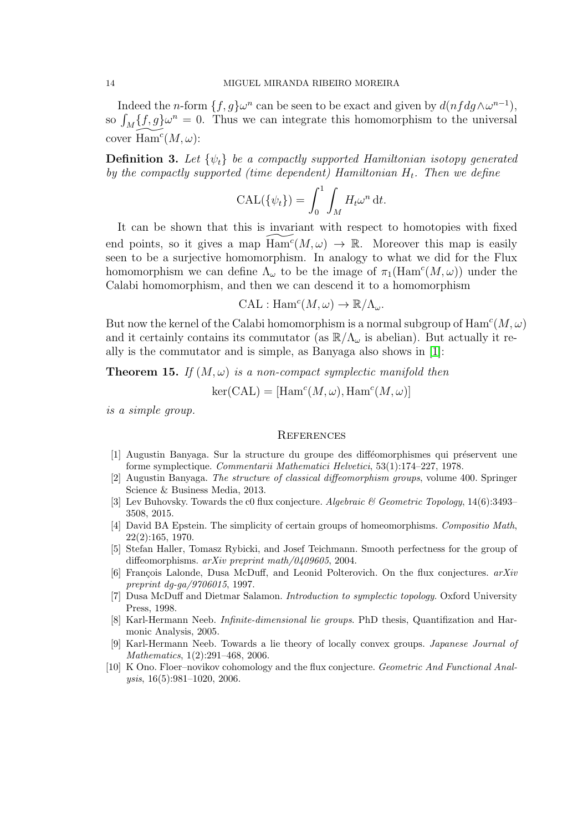Indeed the *n*-form  $\{f, g\} \omega^n$  can be seen to be exact and given by  $d(nfdg \wedge \omega^{n-1}),$ so  $\int_M {\{f, g\}} \omega^n = 0$ . Thus we can integrate this homomorphism to the universal cover  $\widetilde{\text{Ham}^c}(M, \omega)$ :

**Definition 3.** Let  $\{\psi_t\}$  be a compactly supported Hamiltonian isotopy generated by the compactly supported (time dependent) Hamiltonian  $H_t$ . Then we define

$$
\text{CAL}(\{\psi_t\}) = \int_0^1 \int_M H_t \omega^n \, \mathrm{d}t.
$$

It can be shown that this is invariant with respect to homotopies with fixed end points, so it gives a map  $\widetilde{\text{Ham}^c}(M, \omega) \to \mathbb{R}$ . Moreover this map is easily seen to be a surjective homomorphism. In analogy to what we did for the Flux homomorphism we can define  $\Lambda_{\omega}$  to be the image of  $\pi_1(\text{Ham}^c(M, \omega))$  under the Calabi homomorphism, and then we can descend it to a homomorphism

$$
CAL : \text{Ham}^c(M, \omega) \to \mathbb{R}/\Lambda_\omega.
$$

But now the kernel of the Calabi homomorphism is a normal subgroup of  $\text{Ham}^c(M,\omega)$ and it certainly contains its commutator (as  $\mathbb{R}/\Lambda_{\omega}$  is abelian). But actually it really is the commutator and is simple, as Banyaga also shows in [\[1\]](#page-13-6):

**Theorem 15.** If  $(M, \omega)$  is a non-compact symplectic manifold then

$$
\ker(\text{CAL}) = [\text{Ham}^c(M, \omega), \text{Ham}^c(M, \omega)]
$$

is a simple group.

#### **REFERENCES**

- <span id="page-13-6"></span>[1] Augustin Banyaga. Sur la structure du groupe des difféomorphismes qui préservent une forme symplectique. Commentarii Mathematici Helvetici, 53(1):174–227, 1978.
- [2] Augustin Banyaga. The structure of classical diffeomorphism groups, volume 400. Springer Science & Business Media, 2013.
- <span id="page-13-5"></span>[3] Lev Buhovsky. Towards the c0 flux conjecture. Algebraic & Geometric Topology, 14(6):3493– 3508, 2015.
- <span id="page-13-7"></span>[4] David BA Epstein. The simplicity of certain groups of homeomorphisms. Compositio Math, 22(2):165, 1970.
- <span id="page-13-8"></span>[5] Stefan Haller, Tomasz Rybicki, and Josef Teichmann. Smooth perfectness for the group of diffeomorphisms. *arXiv preprint math/0409605*, 2004.
- <span id="page-13-4"></span>[6] François Lalonde, Dusa McDuff, and Leonid Polterovich. On the flux conjectures.  $arXiv$ preprint dg-ga/9706015, 1997.
- <span id="page-13-0"></span>[7] Dusa McDuff and Dietmar Salamon. Introduction to symplectic topology. Oxford University Press, 1998.
- <span id="page-13-2"></span>[8] Karl-Hermann Neeb. Infinite-dimensional lie groups. PhD thesis, Quantifization and Harmonic Analysis, 2005.
- <span id="page-13-1"></span>[9] Karl-Hermann Neeb. Towards a lie theory of locally convex groups. Japanese Journal of Mathematics, 1(2):291–468, 2006.
- <span id="page-13-3"></span>[10] K Ono. Floer–novikov cohomology and the flux conjecture. Geometric And Functional Analysis, 16(5):981–1020, 2006.